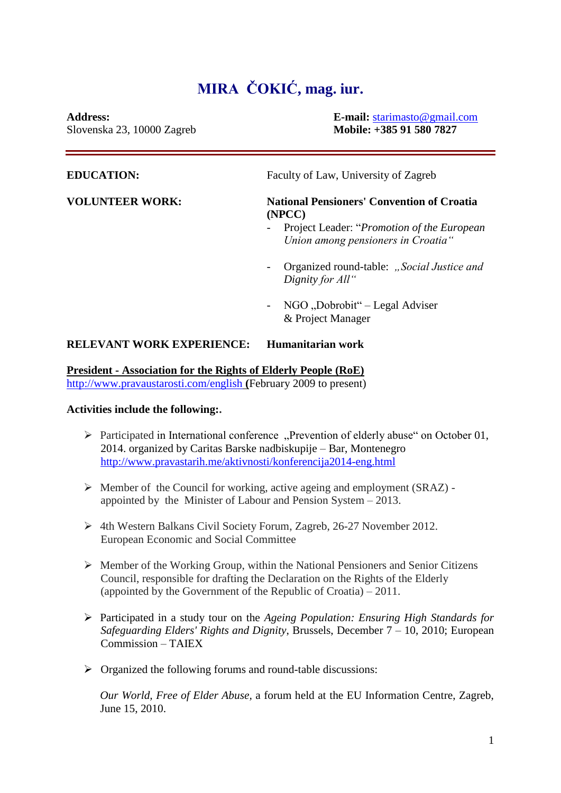## **MIRA ČOKIĆ, mag. iur.**

**Address: E-mail:** [starimasto@gmail.com](mailto:starimasto@gmail.com)

| Slovenska 23, 10000 Zagreb | Mobile: +385 91 580 7827                                                                                                                                |
|----------------------------|---------------------------------------------------------------------------------------------------------------------------------------------------------|
| <b>EDUCATION:</b>          | Faculty of Law, University of Zagreb                                                                                                                    |
| <b>VOLUNTEER WORK:</b>     | <b>National Pensioners' Convention of Croatia</b><br>(NPCC)<br>Project Leader: " <i>Promotion of the European</i><br>Union among pensioners in Croatia" |
|                            | Organized round-table: "Social Justice and<br>Dignity for All"                                                                                          |
|                            | NGO "Dobrobit" – Legal Adviser                                                                                                                          |

## **RELEVANT WORK EXPERIENCE: Humanitarian work**

## **President - Association for the Rights of Elderly People (RoE)**

<http://www.pravaustarosti.com/english> **(**February 2009 to present)

## **Activities include the following:.**

 $\triangleright$  Participated in International conference "Prevention of elderly abuse" on October 01, 2014. organized by Caritas Barske nadbiskupije – Bar, Montenegro <http://www.pravastarih.me/aktivnosti/konferencija2014-eng.html>

& Project Manager

- ➢ Member of the Council for working, active ageing and employment (SRAZ) appointed by the Minister of Labour and Pension System – 2013.
- ➢ 4th Western Balkans Civil Society Forum, Zagreb, 26-27 November 2012. European Economic and Social Committee
- $\triangleright$  Member of the Working Group, within the National Pensioners and Senior Citizens Council, responsible for drafting the Declaration on the Rights of the Elderly (appointed by the Government of the Republic of Croatia) – 2011.
- ➢ Participated in a study tour on the *Ageing Population: Ensuring High Standards for Safeguarding Elders' Rights and Dignity*, Brussels, December 7 – 10, 2010; European Commission – TAIEX
- ➢ Organized the following forums and round-table discussions:

*Our World, Free of Elder Abuse,* a forum held at the EU Information Centre, Zagreb, June 15, 2010.